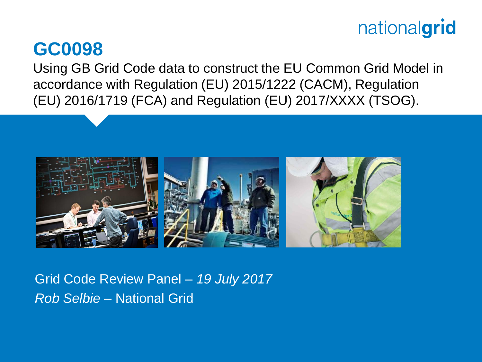#### **GC0098**

Using GB Grid Code data to construct the EU Common Grid Model in accordance with Regulation (EU) 2015/1222 (CACM), Regulation (EU) 2016/1719 (FCA) and Regulation (EU) 2017/XXXX (TSOG).



Grid Code Review Panel – *19 July 2017 Rob Selbie* – National Grid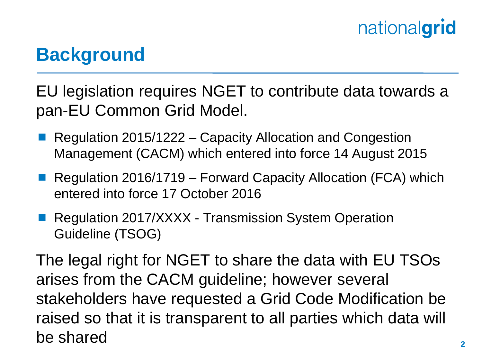## **Background**

EU legislation requires NGET to contribute data towards a pan-EU Common Grid Model.

- Regulation 2015/1222 Capacity Allocation and Congestion Management (CACM) which entered into force 14 August 2015
- Regulation 2016/1719 Forward Capacity Allocation (FCA) which entered into force 17 October 2016
- Regulation 2017/XXXX Transmission System Operation Guideline (TSOG)

The legal right for NGET to share the data with EU TSOs arises from the CACM guideline; however several stakeholders have requested a Grid Code Modification be raised so that it is transparent to all parties which data will be shared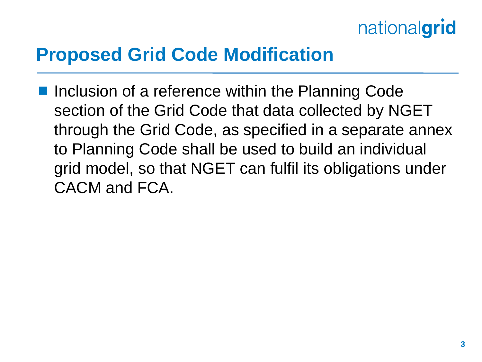### **Proposed Grid Code Modification**

 Inclusion of a reference within the Planning Code section of the Grid Code that data collected by NGET through the Grid Code, as specified in a separate annex to Planning Code shall be used to build an individual grid model, so that NGET can fulfil its obligations under CACM and FCA.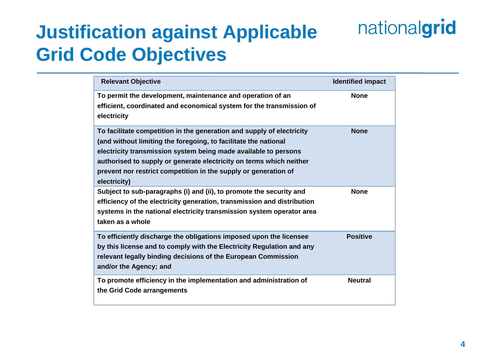## **Justification against Applicable Grid Code Objectives**

| <b>Relevant Objective</b>                                                                                                                                                                                                                                                                                                                                             | <b>Identified impact</b> |
|-----------------------------------------------------------------------------------------------------------------------------------------------------------------------------------------------------------------------------------------------------------------------------------------------------------------------------------------------------------------------|--------------------------|
| To permit the development, maintenance and operation of an<br>efficient, coordinated and economical system for the transmission of<br>electricity                                                                                                                                                                                                                     | <b>None</b>              |
| To facilitate competition in the generation and supply of electricity<br>(and without limiting the foregoing, to facilitate the national<br>electricity transmission system being made available to persons<br>authorised to supply or generate electricity on terms which neither<br>prevent nor restrict competition in the supply or generation of<br>electricity) | <b>None</b>              |
| Subject to sub-paragraphs (i) and (ii), to promote the security and<br>efficiency of the electricity generation, transmission and distribution<br>systems in the national electricity transmission system operator area<br>taken as a whole                                                                                                                           | <b>None</b>              |
| To efficiently discharge the obligations imposed upon the licensee<br>by this license and to comply with the Electricity Regulation and any<br>relevant legally binding decisions of the European Commission<br>and/or the Agency; and                                                                                                                                | <b>Positive</b>          |
| To promote efficiency in the implementation and administration of<br>the Grid Code arrangements                                                                                                                                                                                                                                                                       | <b>Neutral</b>           |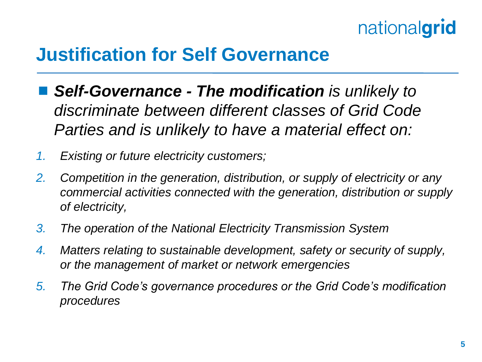## **Justification for Self Governance**

- *Self-Governance - The modification is unlikely to discriminate between different classes of Grid Code Parties and is unlikely to have a material effect on:*
- *1. Existing or future electricity customers;*
- *2. Competition in the generation, distribution, or supply of electricity or any commercial activities connected with the generation, distribution or supply of electricity,*
- *3. The operation of the National Electricity Transmission System*
- *4. Matters relating to sustainable development, safety or security of supply, or the management of market or network emergencies*
- *5. The Grid Code's governance procedures or the Grid Code's modification procedures*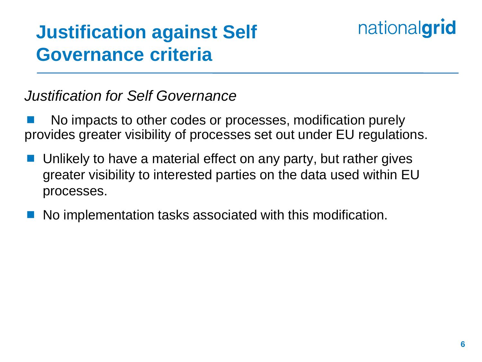## **Justification against Self Governance criteria**

#### *Justification for Self Governance*

 No impacts to other codes or processes, modification purely provides greater visibility of processes set out under EU regulations.

- Unlikely to have a material effect on any party, but rather gives greater visibility to interested parties on the data used within EU processes.
- No implementation tasks associated with this modification.

nationalgrid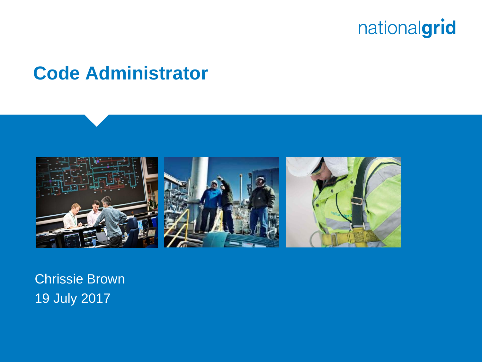

### **Code Administrator**



Chrissie Brown 19 July 2017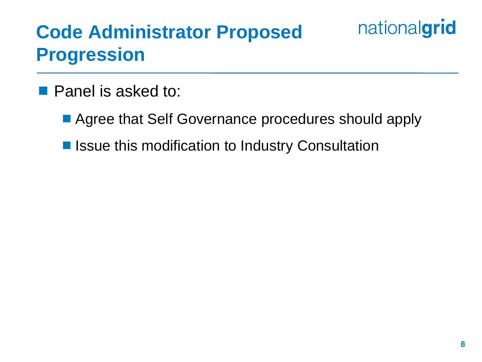## **Code Administrator Proposed Progression**

#### **Panel is asked to:**

- Agree that Self Governance procedures should apply
- Issue this modification to Industry Consultation

nationalgrid